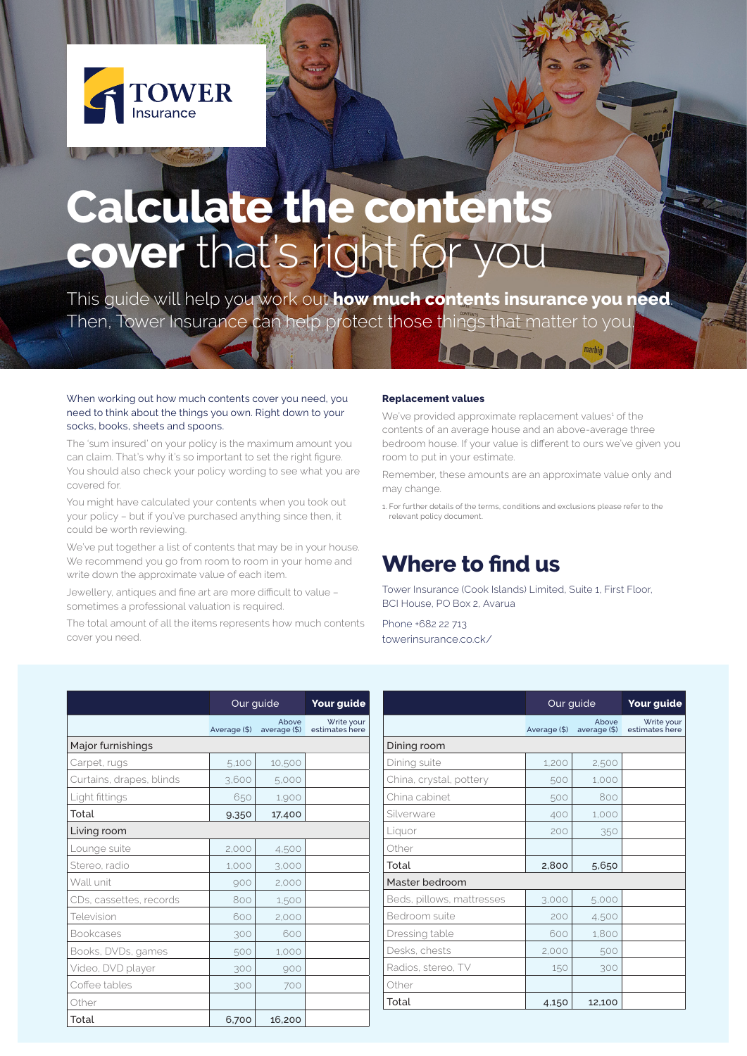

## **Calculate the contents** cover that's right for you

This guide will help you work out **how much contents insurance you need**. Then, Tower Insurance can help protect those things that matter to you.

## When working out how much contents cover you need, you need to think about the things you own. Right down to your socks, books, sheets and spoons.

The 'sum insured' on your policy is the maximum amount you can claim. That's why it's so important to set the right figure. You should also check your policy wording to see what you are covered for.

You might have calculated your contents when you took out your policy – but if you've purchased anything since then, it could be worth reviewing.

We've put together a list of contents that may be in your house. We recommend you go from room to room in your home and write down the approximate value of each item.

Jewellery, antiques and fine art are more difficult to value – sometimes a professional valuation is required.

The total amount of all the items represents how much contents cover you need.

We've provided approximate replacement values<sup>1</sup> of the contents of an average house and an above-average three bedroom house. If your value is different to ours we've given you room to put in your estimate.

Remember, these amounts are an approximate value only and may change.

1. For further details of the terms, conditions and exclusions please refer to the relevant policy document.

## **Where to find us**

Tower Insurance (Cook Islands) Limited, Suite 1, First Floor, BCI House, PO Box 2, Avarua

Phone +682 22 713 towerinsurance.co.ck/

|                          | Our guide    |                       | Your guide                   |
|--------------------------|--------------|-----------------------|------------------------------|
|                          | Average (\$) | Above<br>average (\$) | Write your<br>estimates here |
| Major furnishings        |              |                       |                              |
| Carpet, rugs             | 5,100        | 10,500                |                              |
| Curtains, drapes, blinds | 3,600        | 5,000                 |                              |
| Light fittings           | 650          | 1,900                 |                              |
| Total                    | 9,350        | 17,400                |                              |
| Living room              |              |                       |                              |
| Lounge suite             | 2,000        | 4,500                 |                              |
| Stereo, radio            | 1.000        | 3,000                 |                              |
| Wall unit                | 900          | 2.000                 |                              |
| CDs, cassettes, records  | 800          | 1,500                 |                              |
| Television               | 600          | 2,000                 |                              |
| <b>Bookcases</b>         | 300          | 600                   |                              |
| Books, DVDs, games       | 500          | 1,000                 |                              |
| Video, DVD player        | 300          | 900                   |                              |
| Coffee tables            | 300          | 700                   |                              |
| Other                    |              |                       |                              |
| Total                    | 6,700        | 16,200                |                              |

|                           | Our guide    |                       | <b>Your guide</b>            |
|---------------------------|--------------|-----------------------|------------------------------|
|                           | Average (\$) | Above<br>average (\$) | Write your<br>estimates here |
| Dining room               |              |                       |                              |
| Dining suite              | 1.200        | 2,500                 |                              |
| China, crystal, pottery   | 500          | 1,000                 |                              |
| China cabinet             | 500          | 800                   |                              |
| Silverware                | 400          | 1,000                 |                              |
| Liquor                    | 200          | 350                   |                              |
| Other                     |              |                       |                              |
| Total                     | 2,800        | 5,650                 |                              |
| Master bedroom            |              |                       |                              |
| Beds, pillows, mattresses | 3,000        | 5,000                 |                              |
| Bedroom suite             | 200          | 4,500                 |                              |
| Dressing table            | 600          | 1,800                 |                              |
| Desks, chests             | 2,000        | 500                   |                              |
| Radios, stereo, TV        | 150          | 300                   |                              |
| Other                     |              |                       |                              |
| Total                     | 4.150        | 12,100                |                              |